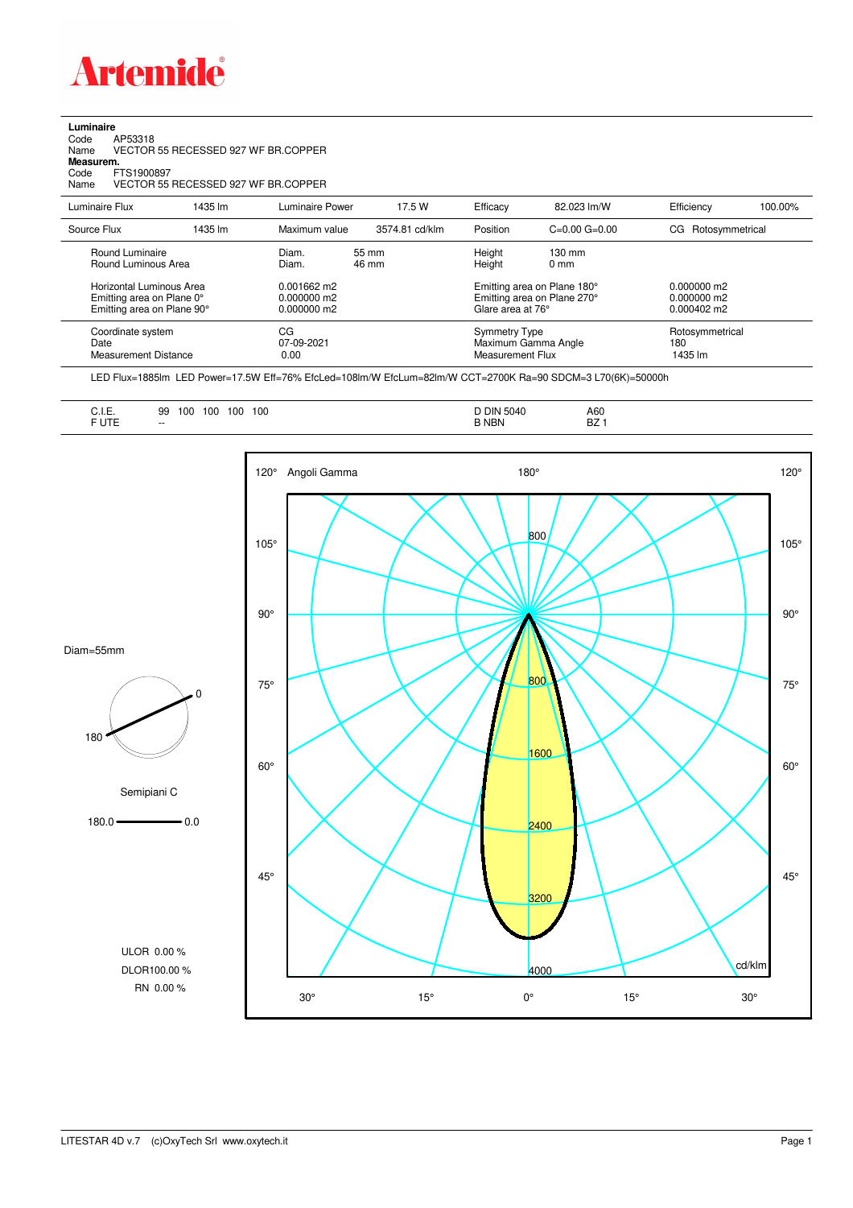

**Luminaire**<br>Code /<br>Name \ Code AP53318 Name VECTOR 55 RECESSED 927 WF BR.COPPER

**Measurem.**

Code FTS1900897 Name VECTOR 55 RECESSED 927 WF BR.COPPER

| Luminaire Flux                                                                                  | 1435 lm | <b>Luminaire Power</b>                           | 17.5 W                       | Efficacy                                 | 82.023 lm/W                                                                                      | Efficiency                        | 100.00% |
|-------------------------------------------------------------------------------------------------|---------|--------------------------------------------------|------------------------------|------------------------------------------|--------------------------------------------------------------------------------------------------|-----------------------------------|---------|
| Source Flux                                                                                     | 1435 lm | Maximum value                                    | 3574.81 cd/klm               | Position                                 | $C=0.00$ $G=0.00$                                                                                | Rotosymmetrical<br>CG.            |         |
| Round Luminaire<br>Round Luminous Area<br>Horizontal Luminous Area<br>Emitting area on Plane 0° |         | Diam.<br>Diam.<br>$0.001662$ m2<br>$0.000000$ m2 | $55 \, \mathrm{mm}$<br>46 mm | Height<br>Height                         | $130 \text{ mm}$<br>$0 \text{ mm}$<br>Emitting area on Plane 180°<br>Emitting area on Plane 270° | $0.000000$ m2<br>$0.000000$ m2    |         |
| Emitting area on Plane 90°                                                                      |         | $0.000000$ m2                                    |                              | Glare area at 76°                        |                                                                                                  | $0.000402 \text{ m}$              |         |
| Coordinate system<br>Date<br><b>Measurement Distance</b>                                        |         | CG<br>07-09-2021<br>0.00                         |                              | <b>Symmetry Type</b><br>Measurement Flux | Maximum Gamma Angle                                                                              | Rotosymmetrical<br>180<br>1435 lm |         |

LED Flux=1885lm LED Power=17.5W Eff=76% EfcLed=108lm/W EfcLum=82lm/W CCT=2700K Ra=90 SDCM=3 L70(6K)=50000h